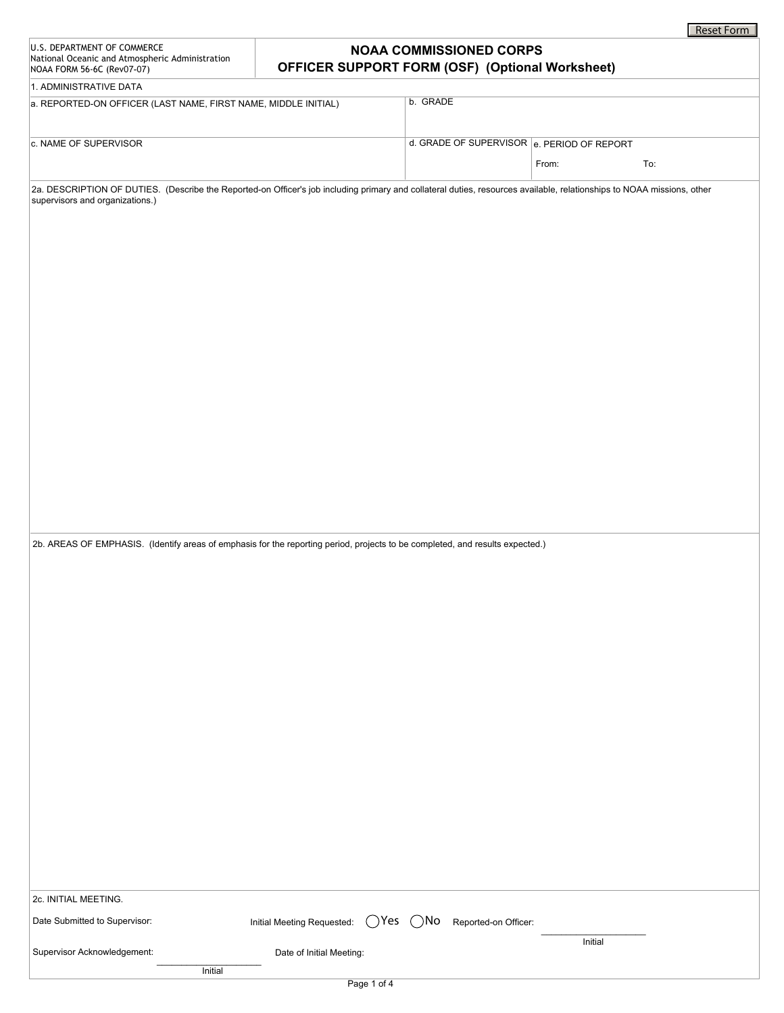|                                                                                                                                                                                                                                                                                                                                            |                                              |                                                                                          |         | Reset Form |
|--------------------------------------------------------------------------------------------------------------------------------------------------------------------------------------------------------------------------------------------------------------------------------------------------------------------------------------------|----------------------------------------------|------------------------------------------------------------------------------------------|---------|------------|
| U.S. DEPARTMENT OF COMMERCE<br>National Oceanic and Atmospheric Administration<br>NOAA FORM 56-6C (Rev07-07)                                                                                                                                                                                                                               |                                              | <b>NOAA COMMISSIONED CORPS</b><br><b>OFFICER SUPPORT FORM (OSF) (Optional Worksheet)</b> |         |            |
| 1. ADMINISTRATIVE DATA                                                                                                                                                                                                                                                                                                                     |                                              |                                                                                          |         |            |
| a. REPORTED-ON OFFICER (LAST NAME, FIRST NAME, MIDDLE INITIAL)                                                                                                                                                                                                                                                                             |                                              | b. GRADE                                                                                 |         |            |
|                                                                                                                                                                                                                                                                                                                                            |                                              | $\blacktriangledown$                                                                     |         |            |
| c. NAME OF SUPERVISOR                                                                                                                                                                                                                                                                                                                      |                                              | d. GRADE OF SUPERVISOR e. PERIOD OF REPORT                                               |         |            |
|                                                                                                                                                                                                                                                                                                                                            |                                              |                                                                                          | From:   | To:        |
|                                                                                                                                                                                                                                                                                                                                            |                                              |                                                                                          |         |            |
| 2a. DESCRIPTION OF DUTIES. (Describe the Reported-on Officer's job including primary and collateral duties, resources available, relationships to NOAA missions, other<br>supervisors and organizations.)<br>2b. AREAS OF EMPHASIS. (Identify areas of emphasis for the reporting period, projects to be completed, and results expected.) |                                              |                                                                                          |         |            |
|                                                                                                                                                                                                                                                                                                                                            |                                              |                                                                                          |         |            |
| 2c. INITIAL MEETING.                                                                                                                                                                                                                                                                                                                       |                                              |                                                                                          |         |            |
| Date Submitted to Supervisor:                                                                                                                                                                                                                                                                                                              | Initial Meeting Requested:<br>$\bigcirc$ Yes | ()No<br>Reported-on Officer:                                                             | Initial |            |
| Supervisor Acknowledgement:                                                                                                                                                                                                                                                                                                                | Date of Initial Meeting:                     |                                                                                          |         |            |
| Initial                                                                                                                                                                                                                                                                                                                                    |                                              |                                                                                          |         |            |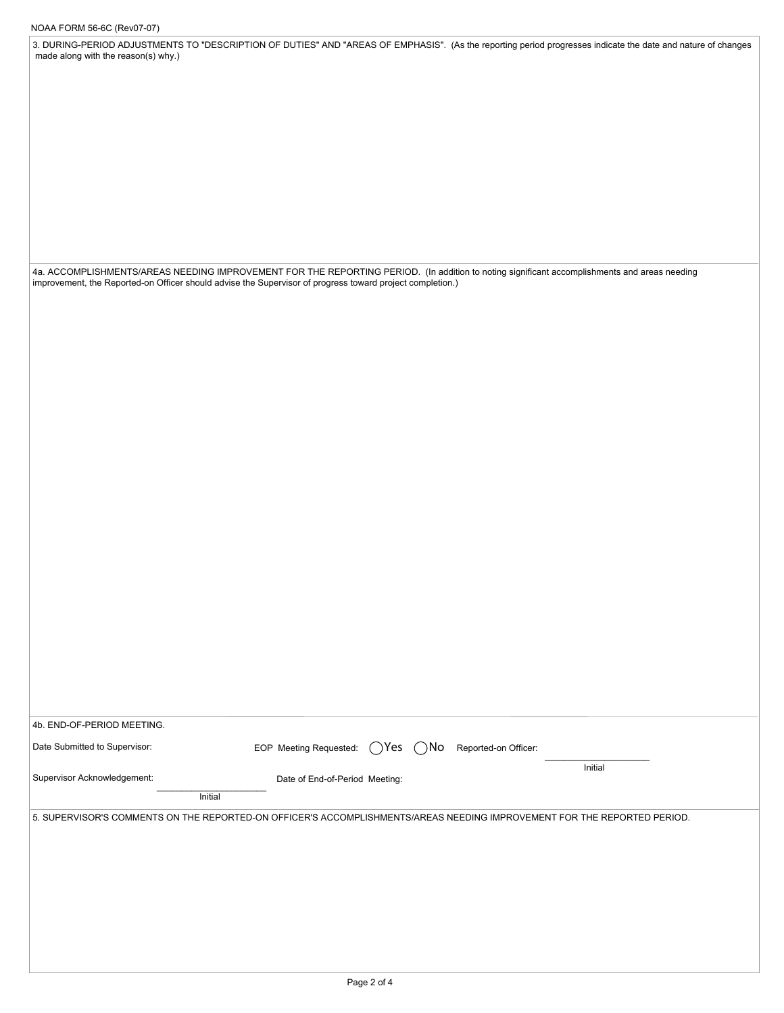3. DURING-PERIOD ADJUSTMENTS TO "DESCRIPTION OF DUTIES" AND "AREAS OF EMPHASIS". (As the reporting period progresses indicate the date and nature of changes made along with the reason(s) why.)

4a. ACCOMPLISHMENTS/AREAS NEEDING IMPROVEMENT FOR THE REPORTING PERIOD. (In addition to noting significant accomplishments and areas needing improvement, the Reported-on Officer should advise the Supervisor of progress toward project completion.)

| 4b. END-OF-PERIOD MEETING.    |                                                                                                                          |
|-------------------------------|--------------------------------------------------------------------------------------------------------------------------|
| Date Submitted to Supervisor: | EOP Meeting Requested:<br>$\bigcap$ Yes<br>$($ $)$ No<br>Reported-on Officer:                                            |
| Supervisor Acknowledgement:   | Initial<br>Date of End-of-Period Meeting:<br>Initial                                                                     |
|                               | 5. SUPERVISOR'S COMMENTS ON THE REPORTED-ON OFFICER'S ACCOMPLISHMENTS/AREAS NEEDING IMPROVEMENT FOR THE REPORTED PERIOD. |
|                               |                                                                                                                          |
|                               |                                                                                                                          |
|                               |                                                                                                                          |
|                               |                                                                                                                          |
|                               |                                                                                                                          |
|                               |                                                                                                                          |
|                               | $P$ <sub>200</sub> $2$ of $\Lambda$                                                                                      |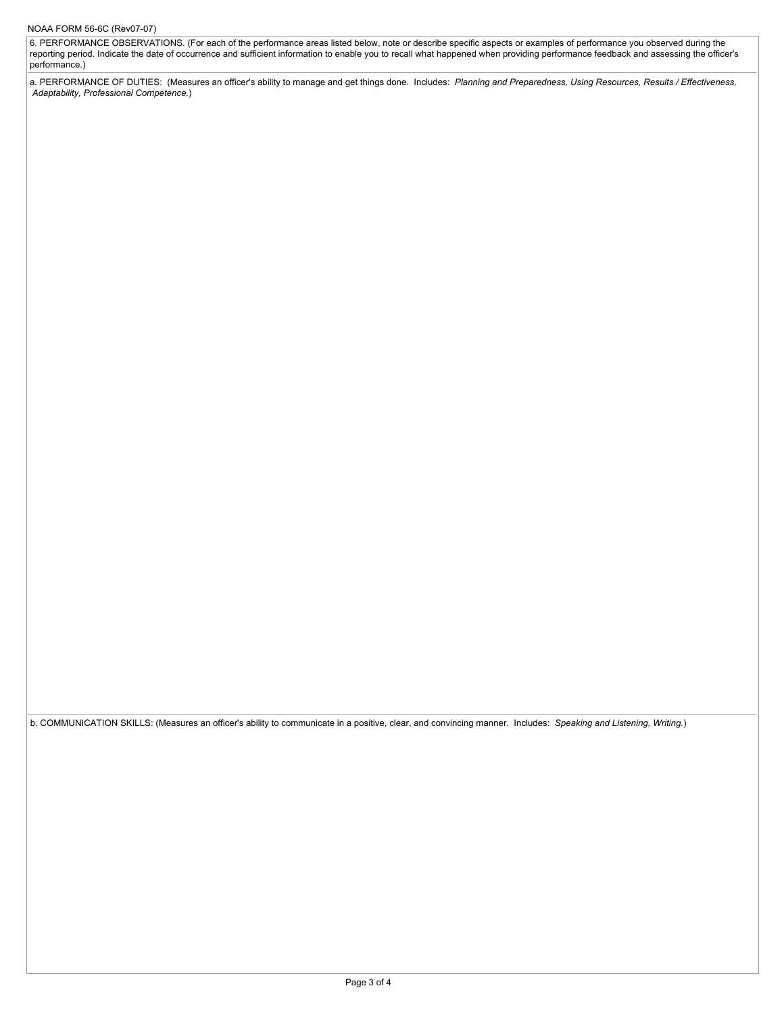6. PERFORMANCE OBSERVATIONS. (For each of the performance areas listed below, note or describe specific aspects or examples of performance you observed during the reporting period. Indicate the date of occurrence and sufficient information to enable you to recall what happened when providing performance feedback and assessing the officer's performance.)

a. PERFORMANCE OF DUTIES: (Measures an officer's ability to manage and get things done. Includes: *Planning and Preparedness, Using Resources, Results / Effectiveness, Adaptability, Professional Competence.*)

b. COMMUNICATION SKILLS: (Measures an officer's ability to communicate in a positive, clear, and convincing manner. Includes: *Speaking and Listening, Writing.*)